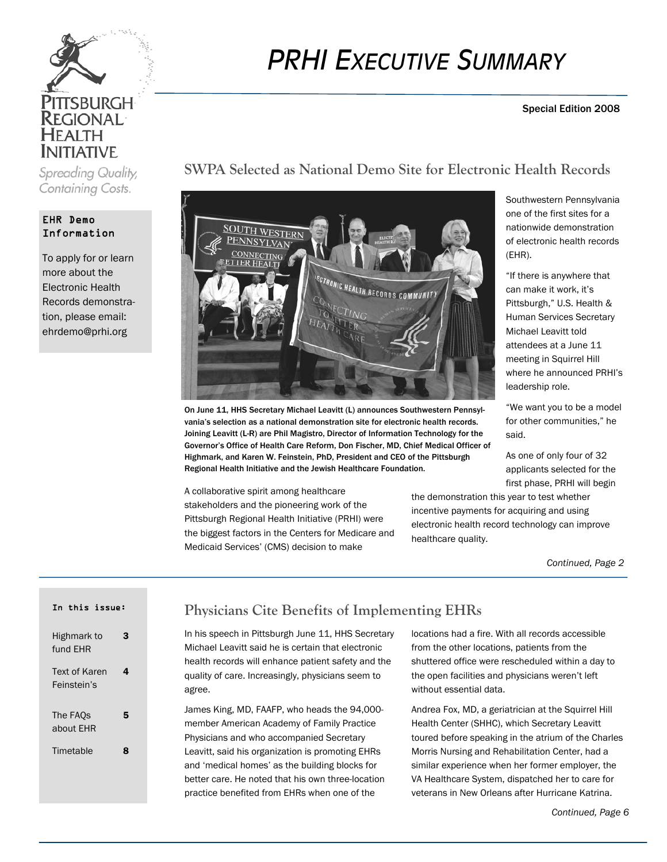

Spreading Quality, Containing Costs.

#### EHR Demo Information

To apply for or learn more about the Electronic Health Records demonstration, please email: ehrdemo@prhi.org

# *PRHI EXECUTIVE SUMMARY*

**SWPA Selected as National Demo Site for Electronic Health Records** 

#### Special Edition 2008

# ECTADNIC HEALTH RECORDS COMMUNITY

On June 11, HHS Secretary Michael Leavitt (L) announces Southwestern Pennsylvania's selection as a national demonstration site for electronic health records. Joining Leavitt (L-R) are Phil Magistro, Director of Information Technology for the Governor's Office of Health Care Reform, Don Fischer, MD, Chief Medical Officer of Highmark, and Karen W. Feinstein, PhD, President and CEO of the Pittsburgh Regional Health Initiative and the Jewish Healthcare Foundation.

A collaborative spirit among healthcare stakeholders and the pioneering work of the Pittsburgh Regional Health Initiative (PRHI) were the biggest factors in the Centers for Medicare and Medicaid Services' (CMS) decision to make

Southwestern Pennsylvania one of the first sites for a nationwide demonstration of electronic health records (EHR).

"If there is anywhere that can make it work, it's Pittsburgh," U.S. Health & Human Services Secretary Michael Leavitt told attendees at a June 11 meeting in Squirrel Hill where he announced PRHI's leadership role.

"We want you to be a model for other communities," he said.

As one of only four of 32 applicants selected for the first phase, PRHI will begin

the demonstration this year to test whether incentive payments for acquiring and using electronic health record technology can improve healthcare quality.

*Continued, Page 2* 

#### In this issue:

| Highmark to<br>fund EHR      |   |
|------------------------------|---|
| Text of Karen<br>Feinstein's | 4 |
| The FAOs<br>about EHR        | 5 |
| Timetable                    | я |

# **Physicians Cite Benefits of Implementing EHRs**

In his speech in Pittsburgh June 11, HHS Secretary Michael Leavitt said he is certain that electronic health records will enhance patient safety and the quality of care. Increasingly, physicians seem to agree.

James King, MD, FAAFP, who heads the 94,000 member American Academy of Family Practice Physicians and who accompanied Secretary Leavitt, said his organization is promoting EHRs and 'medical homes' as the building blocks for better care. He noted that his own three-location practice benefited from EHRs when one of the

locations had a fire. With all records accessible from the other locations, patients from the shuttered office were rescheduled within a day to the open facilities and physicians weren't left without essential data.

Andrea Fox, MD, a geriatrician at the Squirrel Hill Health Center (SHHC), which Secretary Leavitt toured before speaking in the atrium of the Charles Morris Nursing and Rehabilitation Center, had a similar experience when her former employer, the VA Healthcare System, dispatched her to care for veterans in New Orleans after Hurricane Katrina.

#### *Continued, Page 6*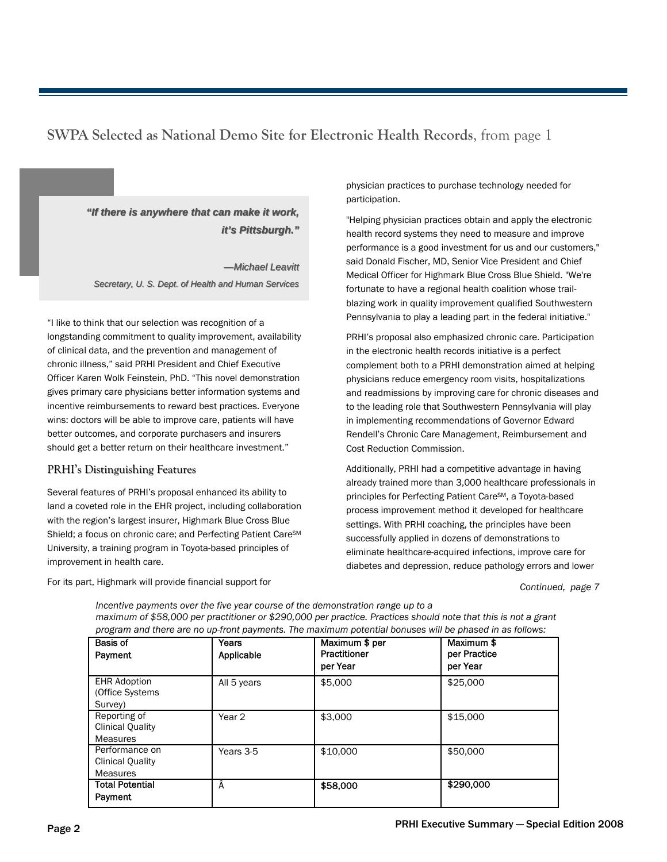# **SWPA Selected as National Demo Site for Electronic Health Records**, from page 1

*"If there is anywhere that can make it work, "If there is anywhere that can make it work, it's Pittsburgh."* 

*—Michael Leavitt Michael Leavitt Secretary, U. S. Dept. of Health and Human Services*

"I like to think that our selection was recognition of a longstanding commitment to quality improvement, availability of clinical data, and the prevention and management of chronic illness," said PRHI President and Chief Executive Officer Karen Wolk Feinstein, PhD. "This novel demonstration gives primary care physicians better information systems and incentive reimbursements to reward best practices. Everyone wins: doctors will be able to improve care, patients will have better outcomes, and corporate purchasers and insurers should get a better return on their healthcare investment."

#### PRHI's Distinguishing Features

Several features of PRHI's proposal enhanced its ability to land a coveted role in the EHR project, including collaboration with the region's largest insurer, Highmark Blue Cross Blue Shield; a focus on chronic care; and Perfecting Patient Care<sup>SM</sup> University, a training program in Toyota-based principles of improvement in health care.

For its part, Highmark will provide financial support for

physician practices to purchase technology needed for participation.

"Helping physician practices obtain and apply the electronic health record systems they need to measure and improve performance is a good investment for us and our customers," said Donald Fischer, MD, Senior Vice President and Chief Medical Officer for Highmark Blue Cross Blue Shield. "We're fortunate to have a regional health coalition whose trailblazing work in quality improvement qualified Southwestern Pennsylvania to play a leading part in the federal initiative."

PRHI's proposal also emphasized chronic care. Participation in the electronic health records initiative is a perfect complement both to a PRHI demonstration aimed at helping physicians reduce emergency room visits, hospitalizations and readmissions by improving care for chronic diseases and to the leading role that Southwestern Pennsylvania will play in implementing recommendations of Governor Edward Rendell's Chronic Care Management, Reimbursement and Cost Reduction Commission.

Additionally, PRHI had a competitive advantage in having already trained more than 3,000 healthcare professionals in principles for Perfecting Patient CareSM, a Toyota-based process improvement method it developed for healthcare settings. With PRHI coaching, the principles have been successfully applied in dozens of demonstrations to eliminate healthcare-acquired infections, improve care for diabetes and depression, reduce pathology errors and lower

*Continued, page 7* 

| program and there are no up-front payments. The maximum potential bonuses will be phased in as follows: |                   |                |              |  |
|---------------------------------------------------------------------------------------------------------|-------------------|----------------|--------------|--|
| <b>Basis of</b>                                                                                         | Years             | Maximum \$ per | Maximum \$   |  |
| Payment                                                                                                 | Applicable        | Practitioner   | per Practice |  |
|                                                                                                         |                   | per Year       | per Year     |  |
| <b>EHR Adoption</b>                                                                                     | All 5 years       | \$5,000        | \$25,000     |  |
| (Office Systems)                                                                                        |                   |                |              |  |
| Survey)                                                                                                 |                   |                |              |  |
| Reporting of                                                                                            | Year <sub>2</sub> | \$3,000        | \$15,000     |  |
| <b>Clinical Quality</b>                                                                                 |                   |                |              |  |
| <b>Measures</b>                                                                                         |                   |                |              |  |
| Performance on                                                                                          | Years 3-5         | \$10,000       | \$50,000     |  |
| <b>Clinical Quality</b>                                                                                 |                   |                |              |  |
| <b>Measures</b>                                                                                         |                   |                |              |  |
| <b>Total Potential</b>                                                                                  | Â                 | \$58,000       | \$290,000    |  |
| Payment                                                                                                 |                   |                |              |  |

*Incentive payments over the five year course of the demonstration range up to a maximum of \$58,000 per practitioner or \$290,000 per practice. Practices should note that this is not a grant program and there are no up-front payments. The maximum potential bonuses will be phased in as follows:*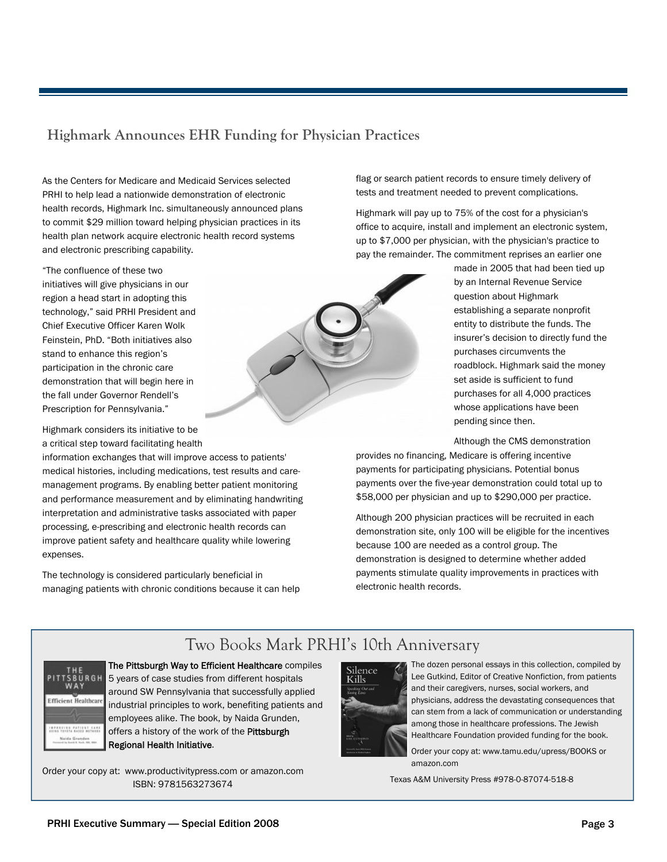## **Highmark Announces EHR Funding for Physician Practices**

As the Centers for Medicare and Medicaid Services selected PRHI to help lead a nationwide demonstration of electronic health records, Highmark Inc. simultaneously announced plans to commit \$29 million toward helping physician practices in its health plan network acquire electronic health record systems and electronic prescribing capability.

"The confluence of these two initiatives will give physicians in our region a head start in adopting this technology," said PRHI President and Chief Executive Officer Karen Wolk Feinstein, PhD. "Both initiatives also stand to enhance this region's participation in the chronic care demonstration that will begin here in the fall under Governor Rendell's Prescription for Pennsylvania."

Highmark considers its initiative to be a critical step toward facilitating health

information exchanges that will improve access to patients' medical histories, including medications, test results and caremanagement programs. By enabling better patient monitoring and performance measurement and by eliminating handwriting interpretation and administrative tasks associated with paper processing, e-prescribing and electronic health records can improve patient safety and healthcare quality while lowering expenses.

The technology is considered particularly beneficial in managing patients with chronic conditions because it can help flag or search patient records to ensure timely delivery of tests and treatment needed to prevent complications.

Highmark will pay up to 75% of the cost for a physician's office to acquire, install and implement an electronic system, up to \$7,000 per physician, with the physician's practice to pay the remainder. The commitment reprises an earlier one

made in 2005 that had been tied up by an Internal Revenue Service question about Highmark establishing a separate nonprofit entity to distribute the funds. The insurer's decision to directly fund the purchases circumvents the roadblock. Highmark said the money set aside is sufficient to fund purchases for all 4,000 practices whose applications have been pending since then.

Although the CMS demonstration

provides no financing, Medicare is offering incentive payments for participating physicians. Potential bonus payments over the five-year demonstration could total up to \$58,000 per physician and up to \$290,000 per practice.

Although 200 physician practices will be recruited in each demonstration site, only 100 will be eligible for the incentives because 100 are needed as a control group. The demonstration is designed to determine whether added payments stimulate quality improvements in practices with electronic health records.

# Two Books Mark PRHI's 10th Anniversary



The Pittsburgh Way to Efficient Healthcare compiles 5 years of case studies from different hospitals around SW Pennsylvania that successfully applied industrial principles to work, benefiting patients and employees alike. The book, by Naida Grunden, offers a history of the work of the Pittsburgh Regional Health Initiative.

Order your copy at: www.productivitypress.com or amazon.com ISBN: 9781563273674



The dozen personal essays in this collection, compiled by Lee Gutkind, Editor of Creative Nonfiction, from patients and their caregivers, nurses, social workers, and physicians, address the devastating consequences that can stem from a lack of communication or understanding among those in healthcare professions. The Jewish Healthcare Foundation provided funding for the book.

Order your copy at: www.tamu.edu/upress/BOOKS or amazon.com

Texas A&M University Press #978-0-87074-518-8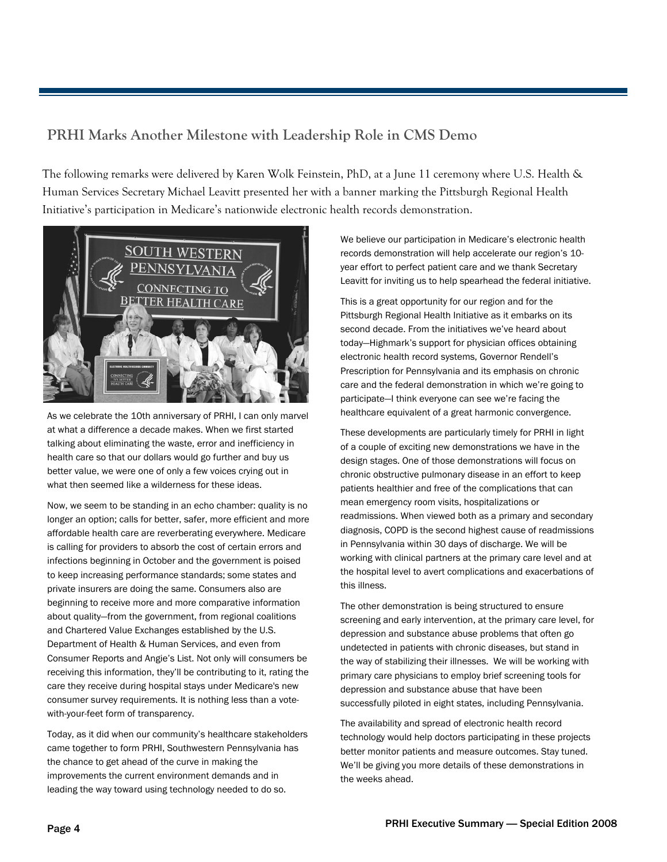# **PRHI Marks Another Milestone with Leadership Role in CMS Demo**

The following remarks were delivered by Karen Wolk Feinstein, PhD, at a June 11 ceremony where U.S. Health & Human Services Secretary Michael Leavitt presented her with a banner marking the Pittsburgh Regional Health Initiative's participation in Medicare's nationwide electronic health records demonstration.



As we celebrate the 10th anniversary of PRHI, I can only marvel at what a difference a decade makes. When we first started talking about eliminating the waste, error and inefficiency in health care so that our dollars would go further and buy us better value, we were one of only a few voices crying out in what then seemed like a wilderness for these ideas.

Now, we seem to be standing in an echo chamber: quality is no longer an option; calls for better, safer, more efficient and more affordable health care are reverberating everywhere. Medicare is calling for providers to absorb the cost of certain errors and infections beginning in October and the government is poised to keep increasing performance standards; some states and private insurers are doing the same. Consumers also are beginning to receive more and more comparative information about quality—from the government, from regional coalitions and Chartered Value Exchanges established by the U.S. Department of Health & Human Services, and even from Consumer Reports and Angie's List. Not only will consumers be receiving this information, they'll be contributing to it, rating the care they receive during hospital stays under Medicare's new consumer survey requirements. It is nothing less than a votewith-your-feet form of transparency.

Today, as it did when our community's healthcare stakeholders came together to form PRHI, Southwestern Pennsylvania has the chance to get ahead of the curve in making the improvements the current environment demands and in leading the way toward using technology needed to do so.

We believe our participation in Medicare's electronic health records demonstration will help accelerate our region's 10 year effort to perfect patient care and we thank Secretary Leavitt for inviting us to help spearhead the federal initiative.

This is a great opportunity for our region and for the Pittsburgh Regional Health Initiative as it embarks on its second decade. From the initiatives we've heard about today—Highmark's support for physician offices obtaining electronic health record systems, Governor Rendell's Prescription for Pennsylvania and its emphasis on chronic care and the federal demonstration in which we're going to participate—I think everyone can see we're facing the healthcare equivalent of a great harmonic convergence.

These developments are particularly timely for PRHI in light of a couple of exciting new demonstrations we have in the design stages. One of those demonstrations will focus on chronic obstructive pulmonary disease in an effort to keep patients healthier and free of the complications that can mean emergency room visits, hospitalizations or readmissions. When viewed both as a primary and secondary diagnosis, COPD is the second highest cause of readmissions in Pennsylvania within 30 days of discharge. We will be working with clinical partners at the primary care level and at the hospital level to avert complications and exacerbations of this illness.

The other demonstration is being structured to ensure screening and early intervention, at the primary care level, for depression and substance abuse problems that often go undetected in patients with chronic diseases, but stand in the way of stabilizing their illnesses. We will be working with primary care physicians to employ brief screening tools for depression and substance abuse that have been successfully piloted in eight states, including Pennsylvania.

The availability and spread of electronic health record technology would help doctors participating in these projects better monitor patients and measure outcomes. Stay tuned. We'll be giving you more details of these demonstrations in the weeks ahead.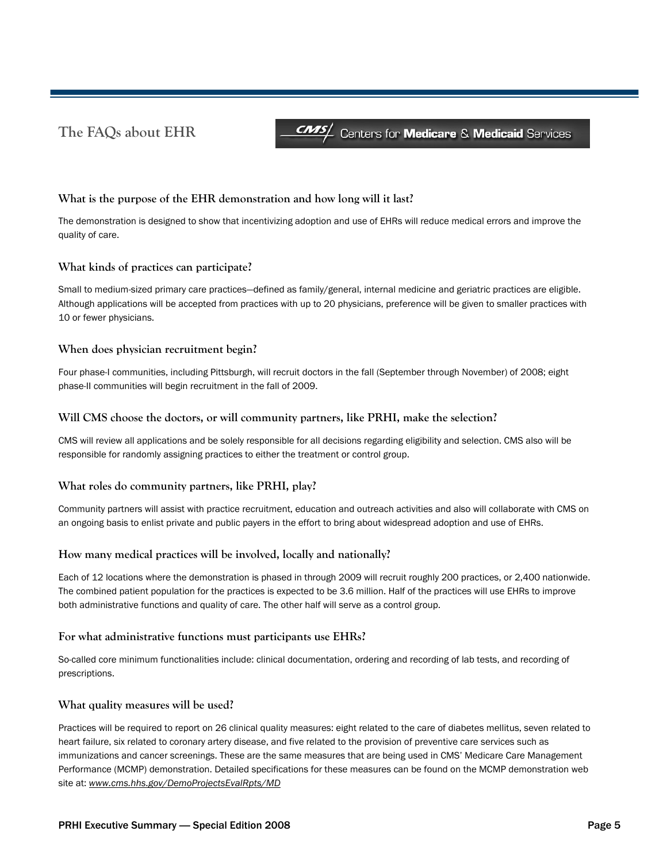# **The FAQs about EHR**

**CMS/** Centers for **Medicare** & **Medicaid** Services

#### **What is the purpose of the EHR demonstration and how long will it last?**

The demonstration is designed to show that incentivizing adoption and use of EHRs will reduce medical errors and improve the quality of care.

#### **What kinds of practices can participate?**

Small to medium-sized primary care practices—defined as family/general, internal medicine and geriatric practices are eligible. Although applications will be accepted from practices with up to 20 physicians, preference will be given to smaller practices with 10 or fewer physicians.

#### **When does physician recruitment begin?**

Four phase-I communities, including Pittsburgh, will recruit doctors in the fall (September through November) of 2008; eight phase-II communities will begin recruitment in the fall of 2009.

#### **Will CMS choose the doctors, or will community partners, like PRHI, make the selection?**

CMS will review all applications and be solely responsible for all decisions regarding eligibility and selection. CMS also will be responsible for randomly assigning practices to either the treatment or control group.

#### **What roles do community partners, like PRHI, play?**

Community partners will assist with practice recruitment, education and outreach activities and also will collaborate with CMS on an ongoing basis to enlist private and public payers in the effort to bring about widespread adoption and use of EHRs.

#### **How many medical practices will be involved, locally and nationally?**

Each of 12 locations where the demonstration is phased in through 2009 will recruit roughly 200 practices, or 2,400 nationwide. The combined patient population for the practices is expected to be 3.6 million. Half of the practices will use EHRs to improve both administrative functions and quality of care. The other half will serve as a control group.

#### **For what administrative functions must participants use EHRs?**

So-called core minimum functionalities include: clinical documentation, ordering and recording of lab tests, and recording of prescriptions.

#### **What quality measures will be used?**

Practices will be required to report on 26 clinical quality measures: eight related to the care of diabetes mellitus, seven related to heart failure, six related to coronary artery disease, and five related to the provision of preventive care services such as immunizations and cancer screenings. These are the same measures that are being used in CMS' Medicare Care Management Performance (MCMP) demonstration. Detailed specifications for these measures can be found on the MCMP demonstration web site at: *www.cms.hhs.gov/DemoProjectsEvalRpts/MD*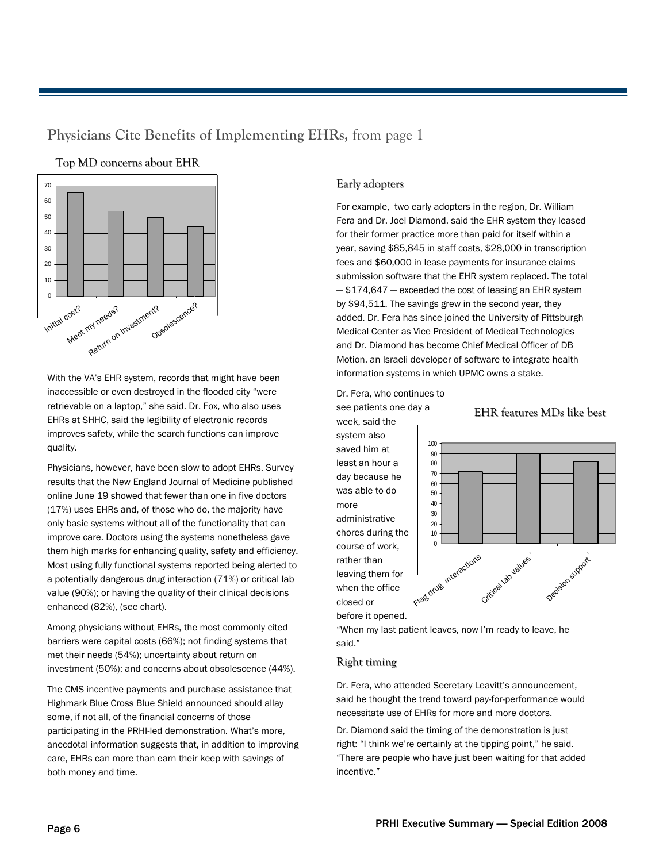### **Physicians Cite Benefits of Implementing EHRs,** from page 1

#### Top MD concerns about EHR



With the VA's EHR system, records that might have been inaccessible or even destroyed in the flooded city "were retrievable on a laptop," she said. Dr. Fox, who also uses EHRs at SHHC, said the legibility of electronic records improves safety, while the search functions can improve quality.

Physicians, however, have been slow to adopt EHRs. Survey results that the New England Journal of Medicine published online June 19 showed that fewer than one in five doctors (17%) uses EHRs and, of those who do, the majority have only basic systems without all of the functionality that can improve care. Doctors using the systems nonetheless gave them high marks for enhancing quality, safety and efficiency. Most using fully functional systems reported being alerted to a potentially dangerous drug interaction (71%) or critical lab value (90%); or having the quality of their clinical decisions enhanced (82%), (see chart).

Among physicians without EHRs, the most commonly cited barriers were capital costs (66%); not finding systems that met their needs (54%); uncertainty about return on investment (50%); and concerns about obsolescence (44%).

The CMS incentive payments and purchase assistance that Highmark Blue Cross Blue Shield announced should allay some, if not all, of the financial concerns of those participating in the PRHI-led demonstration. What's more, anecdotal information suggests that, in addition to improving care, EHRs can more than earn their keep with savings of both money and time.

#### Early adopters

For example, two early adopters in the region, Dr. William Fera and Dr. Joel Diamond, said the EHR system they leased for their former practice more than paid for itself within a year, saving \$85,845 in staff costs, \$28,000 in transcription fees and \$60,000 in lease payments for insurance claims submission software that the EHR system replaced. The total — \$174,647 — exceeded the cost of leasing an EHR system by \$94,511. The savings grew in the second year, they added. Dr. Fera has since joined the University of Pittsburgh Medical Center as Vice President of Medical Technologies and Dr. Diamond has become Chief Medical Officer of DB Motion, an Israeli developer of software to integrate health information systems in which UPMC owns a stake.

Dr. Fera, who continues to see patients one day a

week, said the system also saved him at least an hour a day because he was able to do more administrative chores during the course of work, rather than leaving them for when the office closed or



EHR features MDs like best

before it opened.

"When my last patient leaves, now I'm ready to leave, he said."

#### Right timing

Dr. Fera, who attended Secretary Leavitt's announcement, said he thought the trend toward pay-for-performance would necessitate use of EHRs for more and more doctors.

Dr. Diamond said the timing of the demonstration is just right: "I think we're certainly at the tipping point," he said. "There are people who have just been waiting for that added incentive."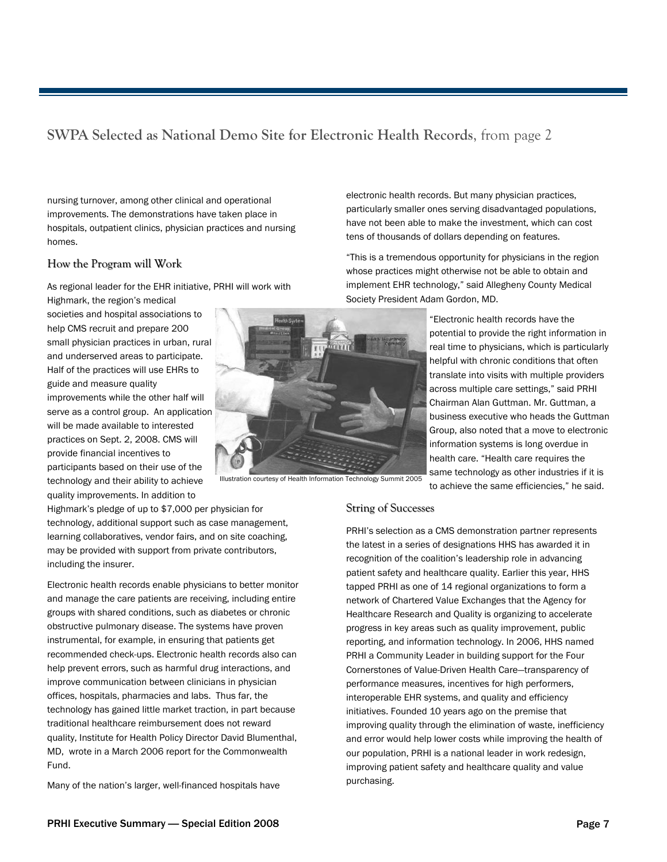# **SWPA Selected as National Demo Site for Electronic Health Records**, from page 2

nursing turnover, among other clinical and operational improvements. The demonstrations have taken place in hospitals, outpatient clinics, physician practices and nursing homes.

#### How the Program will Work

As regional leader for the EHR initiative, PRHI will work with

Highmark, the region's medical societies and hospital associations to help CMS recruit and prepare 200 small physician practices in urban, rural and underserved areas to participate. Half of the practices will use EHRs to guide and measure quality improvements while the other half will serve as a control group. An application will be made available to interested practices on Sept. 2, 2008. CMS will provide financial incentives to participants based on their use of the technology and their ability to achieve quality improvements. In addition to

Highmark's pledge of up to \$7,000 per physician for technology, additional support such as case management, learning collaboratives, vendor fairs, and on site coaching, may be provided with support from private contributors, including the insurer.

Electronic health records enable physicians to better monitor and manage the care patients are receiving, including entire groups with shared conditions, such as diabetes or chronic obstructive pulmonary disease. The systems have proven instrumental, for example, in ensuring that patients get recommended check-ups. Electronic health records also can help prevent errors, such as harmful drug interactions, and improve communication between clinicians in physician offices, hospitals, pharmacies and labs. Thus far, the technology has gained little market traction, in part because traditional healthcare reimbursement does not reward quality, Institute for Health Policy Director David Blumenthal, MD, wrote in a March 2006 report for the Commonwealth Fund.

Many of the nation's larger, well-financed hospitals have

Illustration courtesy of Health Information Technology Summit 2005

**String of Successes** 

PRHI's selection as a CMS demonstration partner represents the latest in a series of designations HHS has awarded it in recognition of the coalition's leadership role in advancing patient safety and healthcare quality. Earlier this year, HHS tapped PRHI as one of 14 regional organizations to form a network of Chartered Value Exchanges that the Agency for Healthcare Research and Quality is organizing to accelerate progress in key areas such as quality improvement, public reporting, and information technology. In 2006, HHS named PRHI a Community Leader in building support for the Four Cornerstones of Value-Driven Health Care—transparency of performance measures, incentives for high performers, interoperable EHR systems, and quality and efficiency initiatives. Founded 10 years ago on the premise that improving quality through the elimination of waste, inefficiency and error would help lower costs while improving the health of our population, PRHI is a national leader in work redesign, improving patient safety and healthcare quality and value purchasing.



electronic health records. But many physician practices, particularly smaller ones serving disadvantaged populations, have not been able to make the investment, which can cost tens of thousands of dollars depending on features.

"This is a tremendous opportunity for physicians in the region whose practices might otherwise not be able to obtain and implement EHR technology," said Allegheny County Medical Society President Adam Gordon, MD.

> "Electronic health records have the potential to provide the right information in real time to physicians, which is particularly helpful with chronic conditions that often translate into visits with multiple providers across multiple care settings," said PRHI Chairman Alan Guttman. Mr. Guttman, a business executive who heads the Guttman Group, also noted that a move to electronic information systems is long overdue in health care. "Health care requires the same technology as other industries if it is to achieve the same efficiencies," he said.